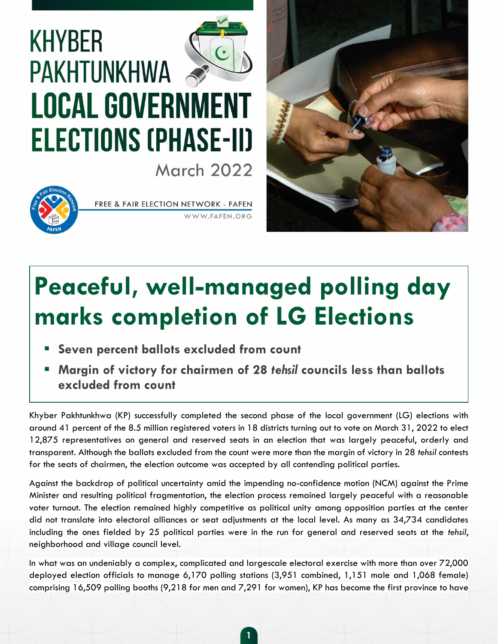

# **PAKHTUNKHWA LOCAL GOVERNMENT ELECTIONS (PHASE-II)**

**March 2022** 



**KHYBER** 

FREE & FAIR ELECTION NETWORK - FAFEN WWW.FAFEN.ORG



# **Peaceful, well-managed polling day marks completion of LG Elections**

- **Seven percent ballots excluded from count**
- **Margin of victory for chairmen of 28** *tehsil* **councils less than ballots excluded from count**

Khyber Pakhtunkhwa (KP) successfully completed the second phase of the local government (LG) elections with around 41 percent of the 8.5 million registered voters in 18 districts turning out to vote on March 31, 2022 to elect 12,875 representatives on general and reserved seats in an election that was largely peaceful, orderly and transparent. Although the ballots excluded from the count were more than the margin of victory in 28 *tehsil* contests for the seats of chairmen, the election outcome was accepted by all contending political parties.

Against the backdrop of political uncertainty amid the impending no-confidence motion (NCM) against the Prime Minister and resulting political fragmentation, the election process remained largely peaceful with a reasonable voter turnout. The election remained highly competitive as political unity among opposition parties at the center did not translate into electoral alliances or seat adjustments at the local level. As many as 34,734 candidates including the ones fielded by 25 political parties were in the run for general and reserved seats at the *tehsil*, neighborhood and village council level.

In what was an undeniably a complex, complicated and largescale electoral exercise with more than over 72,000 deployed election officials to manage 6,170 polling stations (3,951 combined, 1,151 male and 1,068 female) comprising 16,509 polling booths (9,218 for men and 7,291 for women), KP has become the first province to have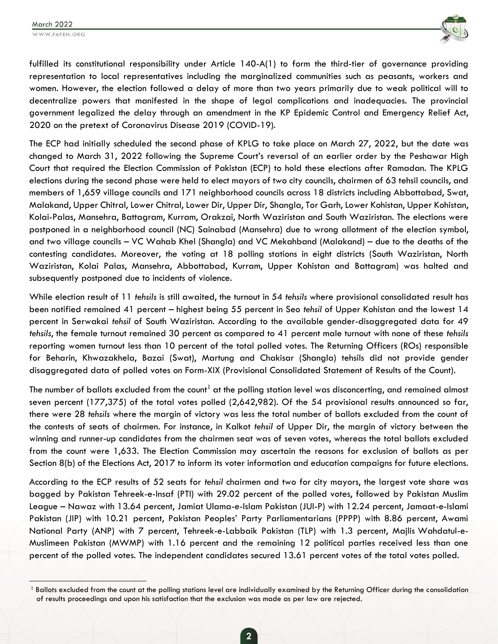

fulfilled its constitutional responsibility under Article 140-A(1) to form the third-tier of governance providing representation to local representatives including the marginalized communities such as peasants, workers and women. However, the election followed a delay of more than two years primarily due to weak political will to decentralize powers that manifested in the shape of legal complications and inadequacies. The provincial government legalized the delay through an amendment in the KP Epidemic Control and Emergency Relief Act, 2020 on the pretext of Coronavirus Disease 2019 (COVID-19).

The ECP had initially scheduled the second phase of KPLG to take place on March 27, 2022, but the date was changed to March 31, 2022 following the Supreme Court's reversal of an earlier order by the Peshawar High Court that required the Election Commission of Pakistan (ECP) to hold these elections after Ramadan. The KPLG elections during the second phase were held to elect mayors of two city councils, chairmen of 63 tehsil councils, and members of 1,659 village councils and 171 neighborhood councils across 18 districts including Abbottabad, Swat, Malakand, Upper Chitral, Lower Chitral, Lower Dir, Upper Dir, Shangla, Tor Garh, Lower Kohistan, Upper Kohistan, Kolai-Palas, Mansehra, Battagram, Kurram, Orakzai, North Waziristan and South Waziristan. The elections were postponed in a neighborhood council (NC) Sainabad (Mansehra) due to wrong allotment of the election symbol, and two village councils – VC Wahab Khel (Shangla) and VC Mekahband (Malakand) – due to the deaths of the contesting candidates. Moreover, the voting at 18 polling stations in eight districts (South Waziristan, North Waziristan, Kolai Palas, Mansehra, Abbottabad, Kurram, Upper Kohistan and Battagram) was halted and subsequently postponed due to incidents of violence.

While election result of 11 *tehsils* is still awaited, the turnout in 54 *tehsils* where provisional consolidated result has been notified remained 41 percent – highest being 55 percent in Seo *tehsil* of Upper Kohistan and the lowest 14 percent in Serwakai *tehsil* of South Waziristan. According to the available gender-disaggregated data for 49 *tehsils*, the female turnout remained 30 percent as compared to 41 percent male turnout with none of these *tehsils* reporting women turnout less than 10 percent of the total polled votes. The Returning Officers (ROs) responsible for Beharin, Khwazakhela, Bazai (Swat), Martung and Chakisar (Shangla) tehsils did not provide gender disaggregated data of polled votes on Form-XIX (Provisional Consolidated Statement of Results of the Count).

The number of ballots excluded from the count<sup>1</sup> at the polling station level was disconcerting, and remained almost seven percent (177,375) of the total votes polled (2,642,982). Of the 54 provisional results announced so far, there were 28 *tehsils* where the margin of victory was less the total number of ballots excluded from the count of the contests of seats of chairmen. For instance, in Kalkot *tehsil* of Upper Dir, the margin of victory between the winning and runner-up candidates from the chairmen seat was of seven votes, whereas the total ballots excluded from the count were 1,633. The Election Commission may ascertain the reasons for exclusion of ballots as per Section 8(b) of the Elections Act, 2017 to inform its voter information and education campaigns for future elections.

According to the ECP results of 52 seats for *tehsil* chairmen and two for city mayors, the largest vote share was bagged by Pakistan Tehreek-e-Insaf (PTI) with 29.02 percent of the polled votes, followed by Pakistan Muslim League – Nawaz with 13.64 percent, Jamiat Ulama-e-Islam Pakistan (JUI-P) with 12.24 percent, Jamaat-e-Islami Pakistan (JIP) with 10.21 percent, Pakistan Peoples' Party Parliamentarians (PPPP) with 8.86 percent, Awami National Party (ANP) with 7 percent, Tehreek-e-Labbaik Pakistan (TLP) with 1.3 percent, Majlis Wahdatul-e-Muslimeen Pakistan (MWMP) with 1.16 percent and the remaining 12 political parties received less than one percent of the polled votes. The independent candidates secured 13.61 percent votes of the total votes polled.

<sup>&</sup>lt;sup>1</sup> Ballots excluded from the count at the polling stations level are individually examined by the Returning Officer during the consolidation of results proceedings and upon his satisfaction that the exclusion was made as per law are rejected.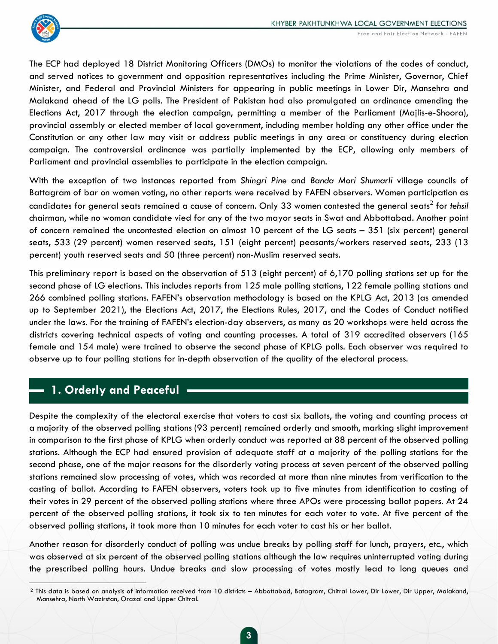

The ECP had deployed 18 District Monitoring Officers (DMOs) to monitor the violations of the codes of conduct, and served notices to government and opposition representatives including the Prime Minister, Governor, Chief Minister, and Federal and Provincial Ministers for appearing in public meetings in Lower Dir, Mansehra and Malakand ahead of the LG polls. The President of Pakistan had also promulgated an ordinance amending the Elections Act, 2017 through the election campaign, permitting a member of the Parliament (Majlis-e-Shoora), provincial assembly or elected member of local government, including member holding any other office under the Constitution or any other law may visit or address public meetings in any area or constituency during election campaign. The controversial ordinance was partially implemented by the ECP, allowing only members of Parliament and provincial assemblies to participate in the election campaign.

With the exception of two instances reported from *Shingri Pine* and *Banda Mori Shumarli* village councils of Battagram of bar on women voting, no other reports were received by FAFEN observers. Women participation as candidates for general seats remained a cause of concern. Only 33 women contested the general seats<sup>2</sup> for *tehsil* chairman, while no woman candidate vied for any of the two mayor seats in Swat and Abbottabad. Another point of concern remained the uncontested election on almost 10 percent of the LG seats – 351 (six percent) general seats, 533 (29 percent) women reserved seats, 151 (eight percent) peasants/workers reserved seats, 233 (13 percent) youth reserved seats and 50 (three percent) non-Muslim reserved seats.

This preliminary report is based on the observation of 513 (eight percent) of 6,170 polling stations set up for the second phase of LG elections. This includes reports from 125 male polling stations, 122 female polling stations and 266 combined polling stations. FAFEN's observation methodology is based on the KPLG Act, 2013 (as amended up to September 2021), the Elections Act, 2017, the Elections Rules, 2017, and the Codes of Conduct notified under the laws. For the training of FAFEN's election-day observers, as many as 20 workshops were held across the districts covering technical aspects of voting and counting processes. A total of 319 accredited observers (165 female and 154 male) were trained to observe the second phase of KPLG polls. Each observer was required to observe up to four polling stations for in-depth observation of the quality of the electoral process.

#### **1. Orderly and Peaceful**

 $\overline{\phantom{a}}$ 

Despite the complexity of the electoral exercise that voters to cast six ballots, the voting and counting process at a majority of the observed polling stations (93 percent) remained orderly and smooth, marking slight improvement in comparison to the first phase of KPLG when orderly conduct was reported at 88 percent of the observed polling stations. Although the ECP had ensured provision of adequate staff at a majority of the polling stations for the second phase, one of the major reasons for the disorderly voting process at seven percent of the observed polling stations remained slow processing of votes, which was recorded at more than nine minutes from verification to the casting of ballot. According to FAFEN observers, voters took up to five minutes from identification to casting of their votes in 29 percent of the observed polling stations where three APOs were processing ballot papers. At 24 percent of the observed polling stations, it took six to ten minutes for each voter to vote. At five percent of the observed polling stations, it took more than 10 minutes for each voter to cast his or her ballot.

Another reason for disorderly conduct of polling was undue breaks by polling staff for lunch, prayers, etc., which was observed at six percent of the observed polling stations although the law requires uninterrupted voting during the prescribed polling hours. Undue breaks and slow processing of votes mostly lead to long queues and

<sup>2</sup> This data is based on analysis of information received from 10 districts – Abbottabad, Batagram, Chitral Lower, Dir Lower, Dir Upper, Malakand, Mansehra, North Wazirstan, Orazai and Upper Chitral.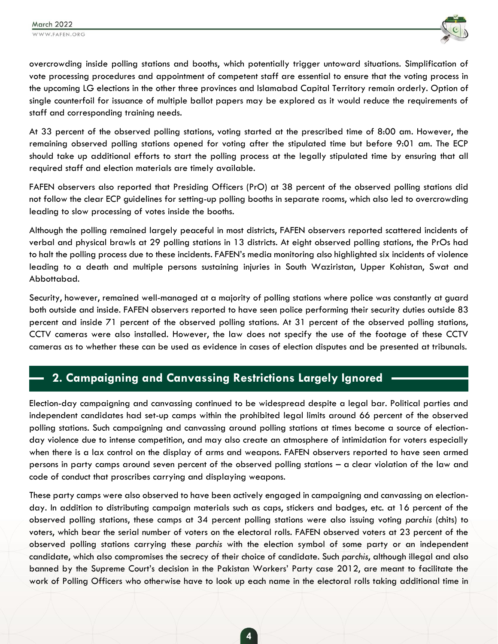

overcrowding inside polling stations and booths, which potentially trigger untoward situations. Simplification of vote processing procedures and appointment of competent staff are essential to ensure that the voting process in the upcoming LG elections in the other three provinces and Islamabad Capital Territory remain orderly. Option of single counterfoil for issuance of multiple ballot papers may be explored as it would reduce the requirements of staff and corresponding training needs.

At 33 percent of the observed polling stations, voting started at the prescribed time of 8:00 am. However, the remaining observed polling stations opened for voting after the stipulated time but before 9:01 am. The ECP should take up additional efforts to start the polling process at the legally stipulated time by ensuring that all required staff and election materials are timely available.

FAFEN observers also reported that Presiding Officers (PrO) at 38 percent of the observed polling stations did not follow the clear ECP guidelines for setting-up polling booths in separate rooms, which also led to overcrowding leading to slow processing of votes inside the booths.

Although the polling remained largely peaceful in most districts, FAFEN observers reported scattered incidents of verbal and physical brawls at 29 polling stations in 13 districts. At eight observed polling stations, the PrOs had to halt the polling process due to these incidents. FAFEN's media monitoring also highlighted six incidents of violence leading to a death and multiple persons sustaining injuries in South Waziristan, Upper Kohistan, Swat and Abbottabad.

Security, however, remained well-managed at a majority of polling stations where police was constantly at guard both outside and inside. FAFEN observers reported to have seen police performing their security duties outside 83 percent and inside 71 percent of the observed polling stations. At 31 percent of the observed polling stations, CCTV cameras were also installed. However, the law does not specify the use of the footage of these CCTV cameras as to whether these can be used as evidence in cases of election disputes and be presented at tribunals.

## **2. Campaigning and Canvassing Restrictions Largely Ignored**

Election-day campaigning and canvassing continued to be widespread despite a legal bar. Political parties and independent candidates had set-up camps within the prohibited legal limits around 66 percent of the observed polling stations. Such campaigning and canvassing around polling stations at times become a source of electionday violence due to intense competition, and may also create an atmosphere of intimidation for voters especially when there is a lax control on the display of arms and weapons. FAFEN observers reported to have seen armed persons in party camps around seven percent of the observed polling stations – a clear violation of the law and code of conduct that proscribes carrying and displaying weapons.

These party camps were also observed to have been actively engaged in campaigning and canvassing on electionday. In addition to distributing campaign materials such as caps, stickers and badges, etc. at 16 percent of the observed polling stations, these camps at 34 percent polling stations were also issuing voting *parchis* (chits) to voters, which bear the serial number of voters on the electoral rolls. FAFEN observed voters at 23 percent of the observed polling stations carrying these *parchis* with the election symbol of some party or an independent candidate, which also compromises the secrecy of their choice of candidate. Such *parchis*, although illegal and also banned by the Supreme Court's decision in the Pakistan Workers' Party case 2012, are meant to facilitate the work of Polling Officers who otherwise have to look up each name in the electoral rolls taking additional time in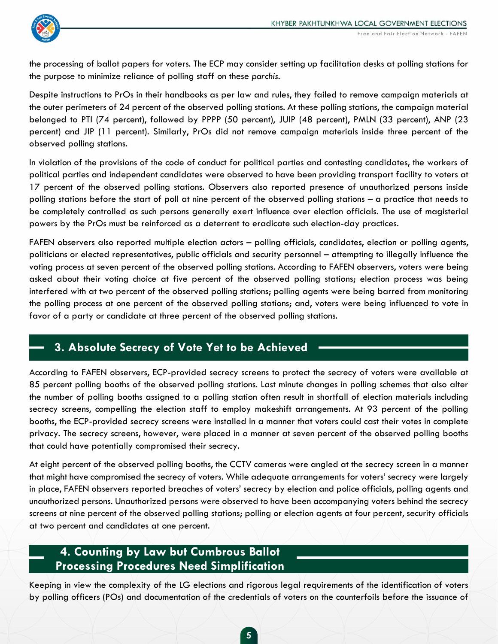

the processing of ballot papers for voters. The ECP may consider setting up facilitation desks at polling stations for the purpose to minimize reliance of polling staff on these *parchis*.

Despite instructions to PrOs in their handbooks as per law and rules, they failed to remove campaign materials at the outer perimeters of 24 percent of the observed polling stations. At these polling stations, the campaign material belonged to PTI (74 percent), followed by PPPP (50 percent), JUIP (48 percent), PMLN (33 percent), ANP (23 percent) and JIP (11 percent). Similarly, PrOs did not remove campaign materials inside three percent of the observed polling stations.

In violation of the provisions of the code of conduct for political parties and contesting candidates, the workers of political parties and independent candidates were observed to have been providing transport facility to voters at 17 percent of the observed polling stations. Observers also reported presence of unauthorized persons inside polling stations before the start of poll at nine percent of the observed polling stations – a practice that needs to be completely controlled as such persons generally exert influence over election officials. The use of magisterial powers by the PrOs must be reinforced as a deterrent to eradicate such election-day practices.

FAFEN observers also reported multiple election actors – polling officials, candidates, election or polling agents, politicians or elected representatives, public officials and security personnel – attempting to illegally influence the voting process at seven percent of the observed polling stations. According to FAFEN observers, voters were being asked about their voting choice at five percent of the observed polling stations; election process was being interfered with at two percent of the observed polling stations; polling agents were being barred from monitoring the polling process at one percent of the observed polling stations; and, voters were being influenced to vote in favor of a party or candidate at three percent of the observed polling stations.

#### **3. Absolute Secrecy of Vote Yet to be Achieved**

According to FAFEN observers, ECP-provided secrecy screens to protect the secrecy of voters were available at 85 percent polling booths of the observed polling stations. Last minute changes in polling schemes that also alter the number of polling booths assigned to a polling station often result in shortfall of election materials including secrecy screens, compelling the election staff to employ makeshift arrangements. At 93 percent of the polling booths, the ECP-provided secrecy screens were installed in a manner that voters could cast their votes in complete privacy. The secrecy screens, however, were placed in a manner at seven percent of the observed polling booths that could have potentially compromised their secrecy.

At eight percent of the observed polling booths, the CCTV cameras were angled at the secrecy screen in a manner that might have compromised the secrecy of voters. While adequate arrangements for voters' secrecy were largely in place, FAFEN observers reported breaches of voters' secrecy by election and police officials, polling agents and unauthorized persons. Unauthorized persons were observed to have been accompanying voters behind the secrecy screens at nine percent of the observed polling stations; polling or election agents at four percent, security officials at two percent and candidates at one percent.

#### **4. Counting by Law but Cumbrous Ballot Processing Procedures Need Simplification**

Keeping in view the complexity of the LG elections and rigorous legal requirements of the identification of voters by polling officers (POs) and documentation of the credentials of voters on the counterfoils before the issuance of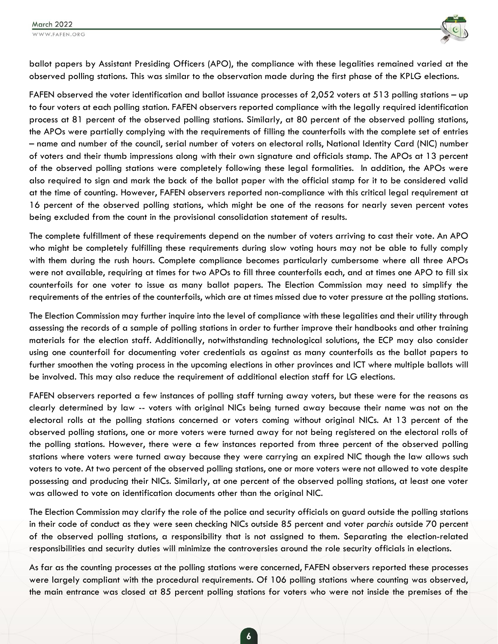WWW.FAFFN.ORG



ballot papers by Assistant Presiding Officers (APO), the compliance with these legalities remained varied at the observed polling stations. This was similar to the observation made during the first phase of the KPLG elections.

FAFEN observed the voter identification and ballot issuance processes of 2,052 voters at 513 polling stations – up to four voters at each polling station. FAFEN observers reported compliance with the legally required identification process at 81 percent of the observed polling stations. Similarly, at 80 percent of the observed polling stations, the APOs were partially complying with the requirements of filling the counterfoils with the complete set of entries – name and number of the council, serial number of voters on electoral rolls, National Identity Card (NIC) number of voters and their thumb impressions along with their own signature and officials stamp. The APOs at 13 percent of the observed polling stations were completely following these legal formalities. In addition, the APOs were also required to sign and mark the back of the ballot paper with the official stamp for it to be considered valid at the time of counting. However, FAFEN observers reported non-compliance with this critical legal requirement at 16 percent of the observed polling stations, which might be one of the reasons for nearly seven percent votes being excluded from the count in the provisional consolidation statement of results.

The complete fulfillment of these requirements depend on the number of voters arriving to cast their vote. An APO who might be completely fulfilling these requirements during slow voting hours may not be able to fully comply with them during the rush hours. Complete compliance becomes particularly cumbersome where all three APOs were not available, requiring at times for two APOs to fill three counterfoils each, and at times one APO to fill six counterfoils for one voter to issue as many ballot papers. The Election Commission may need to simplify the requirements of the entries of the counterfoils, which are at times missed due to voter pressure at the polling stations.

The Election Commission may further inquire into the level of compliance with these legalities and their utility through assessing the records of a sample of polling stations in order to further improve their handbooks and other training materials for the election staff. Additionally, notwithstanding technological solutions, the ECP may also consider using one counterfoil for documenting voter credentials as against as many counterfoils as the ballot papers to further smoothen the voting process in the upcoming elections in other provinces and ICT where multiple ballots will be involved. This may also reduce the requirement of additional election staff for LG elections.

FAFEN observers reported a few instances of polling staff turning away voters, but these were for the reasons as clearly determined by law -- voters with original NICs being turned away because their name was not on the electoral rolls at the polling stations concerned or voters coming without original NICs. At 13 percent of the observed polling stations, one or more voters were turned away for not being registered on the electoral rolls of the polling stations. However, there were a few instances reported from three percent of the observed polling stations where voters were turned away because they were carrying an expired NIC though the law allows such voters to vote. At two percent of the observed polling stations, one or more voters were not allowed to vote despite possessing and producing their NICs. Similarly, at one percent of the observed polling stations, at least one voter was allowed to vote on identification documents other than the original NIC.

The Election Commission may clarify the role of the police and security officials on guard outside the polling stations in their code of conduct as they were seen checking NICs outside 85 percent and voter *parchis* outside 70 percent of the observed polling stations, a responsibility that is not assigned to them. Separating the election-related responsibilities and security duties will minimize the controversies around the role security officials in elections.

As far as the counting processes at the polling stations were concerned, FAFEN observers reported these processes were largely compliant with the procedural requirements. Of 106 polling stations where counting was observed, the main entrance was closed at 85 percent polling stations for voters who were not inside the premises of the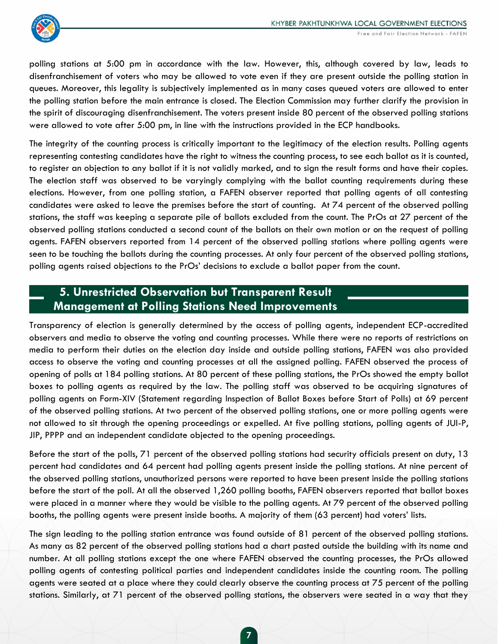

polling stations at 5:00 pm in accordance with the law. However, this, although covered by law, leads to disenfranchisement of voters who may be allowed to vote even if they are present outside the polling station in queues. Moreover, this legality is subjectively implemented as in many cases queued voters are allowed to enter the polling station before the main entrance is closed. The Election Commission may further clarify the provision in the spirit of discouraging disenfranchisement. The voters present inside 80 percent of the observed polling stations were allowed to vote after 5:00 pm, in line with the instructions provided in the ECP handbooks.

The integrity of the counting process is critically important to the legitimacy of the election results. Polling agents representing contesting candidates have the right to witness the counting process, to see each ballot as it is counted, to register an objection to any ballot if it is not validly marked, and to sign the result forms and have their copies. The election staff was observed to be varyingly complying with the ballot counting requirements during these elections. However, from one polling station, a FAFEN observer reported that polling agents of all contesting candidates were asked to leave the premises before the start of counting. At 74 percent of the observed polling stations, the staff was keeping a separate pile of ballots excluded from the count. The PrOs at 27 percent of the observed polling stations conducted a second count of the ballots on their own motion or on the request of polling agents. FAFEN observers reported from 14 percent of the observed polling stations where polling agents were seen to be touching the ballots during the counting processes. At only four percent of the observed polling stations, polling agents raised objections to the PrOs' decisions to exclude a ballot paper from the count.

#### **5. Unrestricted Observation but Transparent Result Management at Polling Stations Need Improvements**

Transparency of election is generally determined by the access of polling agents, independent ECP-accredited observers and media to observe the voting and counting processes. While there were no reports of restrictions on media to perform their duties on the election day inside and outside polling stations, FAFEN was also provided access to observe the voting and counting processes at all the assigned polling. FAFEN observed the process of opening of polls at 184 polling stations. At 80 percent of these polling stations, the PrOs showed the empty ballot boxes to polling agents as required by the law. The polling staff was observed to be acquiring signatures of polling agents on Form-XIV (Statement regarding Inspection of Ballot Boxes before Start of Polls) at 69 percent of the observed polling stations. At two percent of the observed polling stations, one or more polling agents were not allowed to sit through the opening proceedings or expelled. At five polling stations, polling agents of JUI-P, JIP, PPPP and an independent candidate objected to the opening proceedings.

Before the start of the polls, 71 percent of the observed polling stations had security officials present on duty, 13 percent had candidates and 64 percent had polling agents present inside the polling stations. At nine percent of the observed polling stations, unauthorized persons were reported to have been present inside the polling stations before the start of the poll. At all the observed 1,260 polling booths, FAFEN observers reported that ballot boxes were placed in a manner where they would be visible to the polling agents. At 79 percent of the observed polling booths, the polling agents were present inside booths. A majority of them (63 percent) had voters' lists.

The sign leading to the polling station entrance was found outside of 81 percent of the observed polling stations. As many as 82 percent of the observed polling stations had a chart pasted outside the building with its name and number. At all polling stations except the one where FAFEN observed the counting processes, the PrOs allowed polling agents of contesting political parties and independent candidates inside the counting room. The polling agents were seated at a place where they could clearly observe the counting process at 75 percent of the polling stations. Similarly, at 71 percent of the observed polling stations, the observers were seated in a way that they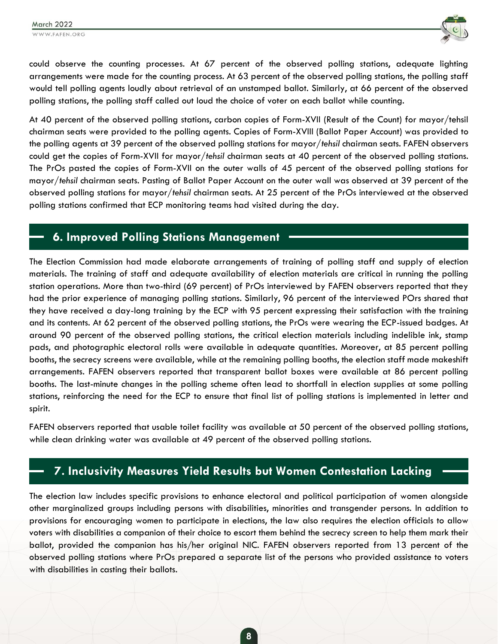

could observe the counting processes. At 67 percent of the observed polling stations, adequate lighting arrangements were made for the counting process. At 63 percent of the observed polling stations, the polling staff would tell polling agents loudly about retrieval of an unstamped ballot. Similarly, at 66 percent of the observed polling stations, the polling staff called out loud the choice of voter on each ballot while counting.

At 40 percent of the observed polling stations, carbon copies of Form-XVII (Result of the Count) for mayor/tehsil chairman seats were provided to the polling agents. Copies of Form-XVIII (Ballot Paper Account) was provided to the polling agents at 39 percent of the observed polling stations for mayor/*tehsil* chairman seats. FAFEN observers could get the copies of Form-XVII for mayor/*tehsil* chairman seats at 40 percent of the observed polling stations. The PrOs pasted the copies of Form-XVII on the outer walls of 45 percent of the observed polling stations for mayor/*tehsil* chairman seats. Pasting of Ballot Paper Account on the outer wall was observed at 39 percent of the observed polling stations for mayor/*tehsil* chairman seats. At 25 percent of the PrOs interviewed at the observed polling stations confirmed that ECP monitoring teams had visited during the day.

#### **6. Improved Polling Stations Management**

The Election Commission had made elaborate arrangements of training of polling staff and supply of election materials. The training of staff and adequate availability of election materials are critical in running the polling station operations. More than two-third (69 percent) of PrOs interviewed by FAFEN observers reported that they had the prior experience of managing polling stations. Similarly, 96 percent of the interviewed POrs shared that they have received a day-long training by the ECP with 95 percent expressing their satisfaction with the training and its contents. At 62 percent of the observed polling stations, the PrOs were wearing the ECP-issued badges. At around 90 percent of the observed polling stations, the critical election materials including indelible ink, stamp pads, and photographic electoral rolls were available in adequate quantities. Moreover, at 85 percent polling booths, the secrecy screens were available, while at the remaining polling booths, the election staff made makeshift arrangements. FAFEN observers reported that transparent ballot boxes were available at 86 percent polling booths. The last-minute changes in the polling scheme often lead to shortfall in election supplies at some polling stations, reinforcing the need for the ECP to ensure that final list of polling stations is implemented in letter and spirit.

FAFEN observers reported that usable toilet facility was available at 50 percent of the observed polling stations, while clean drinking water was available at 49 percent of the observed polling stations.

#### **7. Inclusivity Measures Yield Results but Women Contestation Lacking**

The election law includes specific provisions to enhance electoral and political participation of women alongside other marginalized groups including persons with disabilities, minorities and transgender persons. In addition to provisions for encouraging women to participate in elections, the law also requires the election officials to allow voters with disabilities a companion of their choice to escort them behind the secrecy screen to help them mark their ballot, provided the companion has his/her original NIC. FAFEN observers reported from 13 percent of the observed polling stations where PrOs prepared a separate list of the persons who provided assistance to voters with disabilities in casting their ballots.